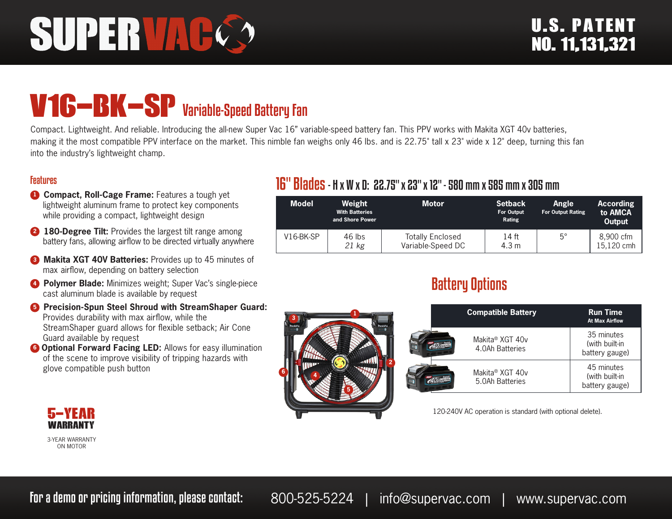# SUPERVAC

## V16-BK-SP Variable-Speed Battery Fan

Compact. Lightweight. And reliable. Introducing the all-new Super Vac 16" variable-speed battery fan. This PPV works with Makita XGT 40v batteries, making it the most compatible PPV interface on the market. This nimble fan weighs only 46 lbs. and is 22.75" tall x 23" wide x 12" deep, turning this fan into the industry's lightweight champ.

 **1**

 **5**

#### Features

- **1 Compact, Roll-Cage Frame:** Features a tough yet lightweight aluminum frame to protect key components while providing a compact, lightweight design
- **2 180-Degree Tilt:** Provides the largest tilt range among battery fans, allowing airflow to be directed virtually anywhere
- **8 Makita XGT 40V Batteries:** Provides up to 45 minutes of max airflow, depending on battery selection
- **4 Polymer Blade:** Minimizes weight; Super Vac's single-piece cast aluminum blade is available by request
- **6** Precision-Spun Steel Shroud with StreamShaper Guard: Provides durability with max airflow, while the StreamShaper guard allows for flexible setback; Air Cone Guard available by request
- **6 Optional Forward Facing LED:** Allows for easy illumination of the scene to improve visibility of tripping hazards with glove compatible push button

#### 16" Blades- H x W x D: 22.75" x 23" x 12" - 580 mm x 585 mm x 305 mm

| <b>Model</b> | Weight<br><b>With Batteries</b><br>and Shore Power | <b>Motor</b>                                 | <b>Setback</b><br>For Output<br>Rating | Angle<br><b>For Output Rating</b> | <b>According</b><br>to AMCA<br><b>Output</b> |
|--------------|----------------------------------------------------|----------------------------------------------|----------------------------------------|-----------------------------------|----------------------------------------------|
| $V16-BK-SP$  | $46$ lbs<br>21 kg                                  | <b>Totally Enclosed</b><br>Variable-Speed DC | 14 ft<br>4.3 m                         | $5^{\circ}$                       | 8.900 cfm<br>15,120 cmh                      |

### Battery Options

|   | <b>Compatible Battery</b>                      | <b>Run Time</b><br><b>At Max Airflow</b>       |
|---|------------------------------------------------|------------------------------------------------|
|   | Makita <sup>®</sup> XGT 40v<br>4.0Ah Batteries | 35 minutes<br>(with built-in<br>battery gauge) |
| 2 | Makita® XGT 40v<br>5.0Ah Batteries             | 45 minutes<br>(with built-in<br>battery gauge) |

120-240V AC operation is standard (with optional delete).



3-YEAR WARRANTY ON MOTOR

 **3**

 **6**

 **4**